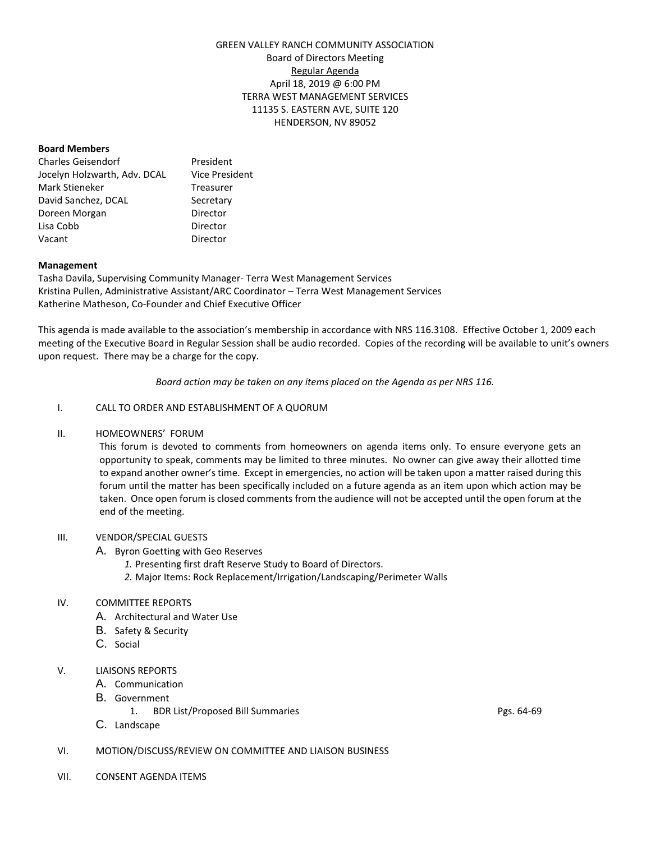# GREEN VALLEY RANCH COMMUNITY ASSOCIATION Board of Directors Meeting Regular Agenda April 18, 2019 @ 6:00 PM TERRA WEST MANAGEMENT SERVICES 11135 S. EASTERN AVE, SUITE 120 HENDERSON, NV 89052

#### **Board Members**

| <b>Charles Geisendorf</b>    | President      |
|------------------------------|----------------|
| Jocelyn Holzwarth, Adv. DCAL | Vice President |
| Mark Stieneker               | Treasurer      |
| David Sanchez, DCAL          | Secretary      |
| Doreen Morgan                | Director       |
| Lisa Cobb                    | Director       |
| Vacant                       | Director       |

#### **Management**

Tasha Davila, Supervising Community Manager- Terra West Management Services Kristina Pullen, Administrative Assistant/ARC Coordinator – Terra West Management Services Katherine Matheson, Co-Founder and Chief Executive Officer

This agenda is made available to the association's membership in accordance with NRS 116.3108. Effective October 1, 2009 each meeting of the Executive Board in Regular Session shall be audio recorded. Copies of the recording will be available to unit's owners upon request. There may be a charge for the copy.

*Board action may be taken on any items placed on the Agenda as per NRS 116.*

## I. CALL TO ORDER AND ESTABLISHMENT OF A QUORUM

# II. HOMEOWNERS' FORUM

This forum is devoted to comments from homeowners on agenda items only. To ensure everyone gets an opportunity to speak, comments may be limited to three minutes. No owner can give away their allotted time to expand another owner's time. Except in emergencies, no action will be taken upon a matter raised during this forum until the matter has been specifically included on a future agenda as an item upon which action may be taken. Once open forum is closed comments from the audience will not be accepted until the open forum at the end of the meeting.

#### III. VENDOR/SPECIAL GUESTS

- A. Byron Goetting with Geo Reserves
	- *1.* Presenting first draft Reserve Study to Board of Directors.
	- *2.* Major Items: Rock Replacement/Irrigation/Landscaping/Perimeter Walls

# IV. COMMITTEE REPORTS

- A. Architectural and Water Use
- B. Safety & Security
- C. Social

# V. LIAISONS REPORTS

- A. Communication
- B. Government
	- 1. BDR List/Proposed Bill Summaries Pgs. 64-69
- C. Landscape
- VI. MOTION/DISCUSS/REVIEW ON COMMITTEE AND LIAISON BUSINESS
- VII. CONSENT AGENDA ITEMS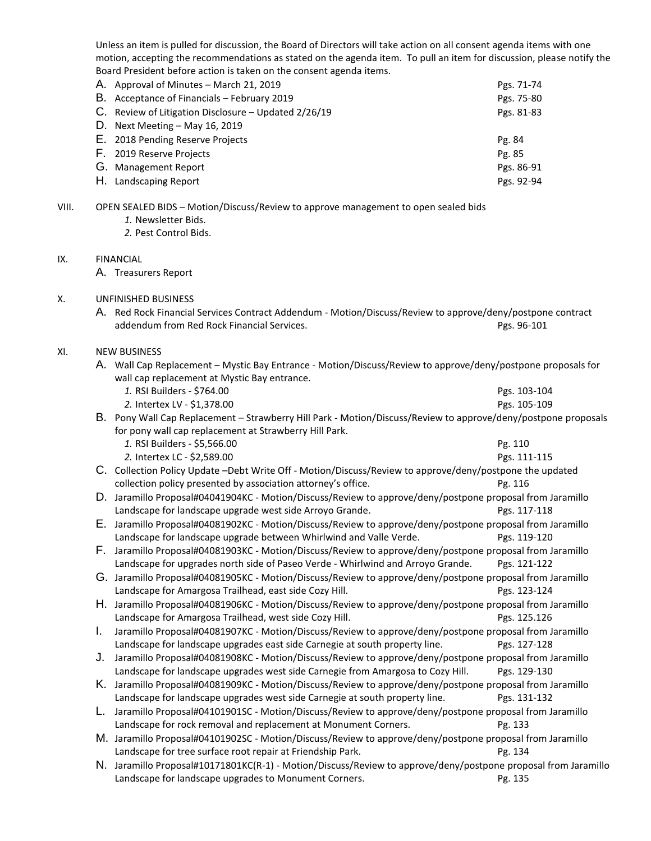Unless an item is pulled for discussion, the Board of Directors will take action on all consent agenda items with one motion, accepting the recommendations as stated on the agenda item. To pull an item for discussion, please notify the Board President before action is taken on the consent agenda items.

| A. Approval of Minutes - March 21, 2019              | Pgs. 71-74 |
|------------------------------------------------------|------------|
| B. Acceptance of Financials - February 2019          | Pgs. 75-80 |
| C. Review of Litigation Disclosure - Updated 2/26/19 | Pgs. 81-83 |
| D. Next Meeting $-$ May 16, 2019                     |            |
| E. 2018 Pending Reserve Projects                     | Pg. 84     |
| F. 2019 Reserve Projects                             | Pg. 85     |
| G. Management Report                                 | Pgs. 86-91 |
| H. Landscaping Report                                | Pgs. 92-94 |

VIII. OPEN SEALED BIDS – Motion/Discuss/Review to approve management to open sealed bids

- *1.* Newsletter Bids.
- *2.* Pest Control Bids.

# IX. FINANCIAL

A. Treasurers Report

## X. UNFINISHED BUSINESS

A. Red Rock Financial Services Contract Addendum - Motion/Discuss/Review to approve/deny/postpone contract addendum from Red Rock Financial Services. **Example 2018** Pgs. 96-101

# XI. NEW BUSINESS

- A. Wall Cap Replacement Mystic Bay Entrance Motion/Discuss/Review to approve/deny/postpone proposals for wall cap replacement at Mystic Bay entrance.
	- *1.* RSI Builders \$764.00 Pgs. 103-104 *2.* Intertex LV - \$1,378.00 Pgs. 105-109

# B. Pony Wall Cap Replacement – Strawberry Hill Park - Motion/Discuss/Review to approve/deny/postpone proposals for pony wall cap replacement at Strawberry Hill Park. *1.* RSI Builders - \$5,566.00 **Pg. 110** Pg. 110

- *2.* Intertex LC \$2,589.00 Pgs. 111-115
- C. Collection Policy Update –Debt Write Off Motion/Discuss/Review to approve/deny/postpone the updated collection policy presented by association attorney's office. Pg. 116
- D. Jaramillo Proposal#04041904KC Motion/Discuss/Review to approve/deny/postpone proposal from Jaramillo Landscape for landscape upgrade west side Arroyo Grande. **Pgs. 117-118**
- E. Jaramillo Proposal#04081902KC Motion/Discuss/Review to approve/deny/postpone proposal from Jaramillo Landscape for landscape upgrade between Whirlwind and Valle Verde. Pgs. 119-120
- F. Jaramillo Proposal#04081903KC Motion/Discuss/Review to approve/deny/postpone proposal from Jaramillo Landscape for upgrades north side of Paseo Verde - Whirlwind and Arroyo Grande. Pgs. 121-122
- G. Jaramillo Proposal#04081905KC Motion/Discuss/Review to approve/deny/postpone proposal from Jaramillo Landscape for Amargosa Trailhead, east side Cozy Hill. **Passet Amazine State Constant Passet Amazine Pgs. 123-124**
- H. Jaramillo Proposal#04081906KC Motion/Discuss/Review to approve/deny/postpone proposal from Jaramillo Landscape for Amargosa Trailhead, west side Cozy Hill. **Passet Amazine State Passet Amazine Pgs. 125.126**
- I. Jaramillo Proposal#04081907KC Motion/Discuss/Review to approve/deny/postpone proposal from Jaramillo Landscape for landscape upgrades east side Carnegie at south property line. Pgs. 127-128
- J. Jaramillo Proposal#04081908KC Motion/Discuss/Review to approve/deny/postpone proposal from Jaramillo Landscape for landscape upgrades west side Carnegie from Amargosa to Cozy Hill. Pgs. 129-130
- K. Jaramillo Proposal#04081909KC Motion/Discuss/Review to approve/deny/postpone proposal from Jaramillo Landscape for landscape upgrades west side Carnegie at south property line. Pgs. 131-132
- L. Jaramillo Proposal#04101901SC Motion/Discuss/Review to approve/deny/postpone proposal from Jaramillo Landscape for rock removal and replacement at Monument Corners. Pg. 133
- M. Jaramillo Proposal#04101902SC Motion/Discuss/Review to approve/deny/postpone proposal from Jaramillo Landscape for tree surface root repair at Friendship Park. Pg. 134
- N. Jaramillo Proposal#10171801KC(R-1) Motion/Discuss/Review to approve/deny/postpone proposal from Jaramillo Landscape for landscape upgrades to Monument Corners. Pg. 135